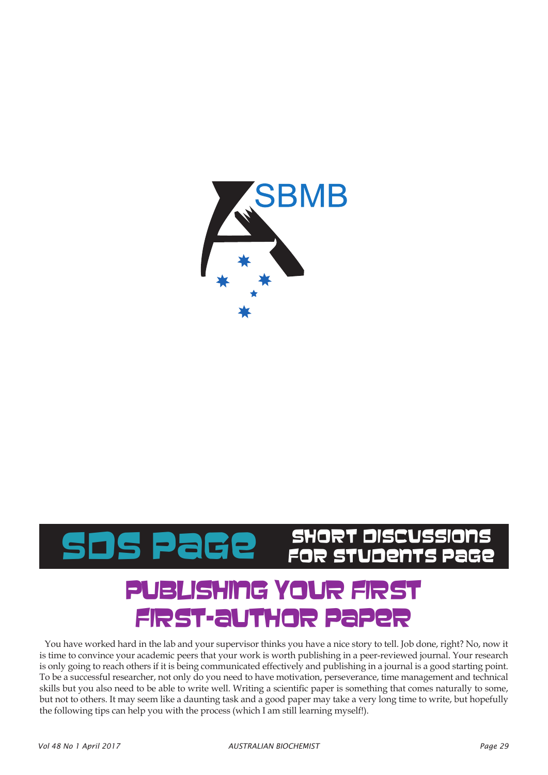

# HORT DISCUSSIONS<br>JR STUDENTS Page

# IBLISHING YOUR FIR first-author paper

You have worked hard in the lab and your supervisor thinks you have a nice story to tell. Job done, right? No, now it is time to convince your academic peers that your work is worth publishing in a peer-reviewed journal. Your research is only going to reach others if it is being communicated effectively and publishing in a journal is a good starting point. To be a successful researcher, not only do you need to have motivation, perseverance, time management and technical skills but you also need to be able to write well. Writing a scientific paper is something that comes naturally to some, but not to others. It may seem like a daunting task and a good paper may take a very long time to write, but hopefully the following tips can help you with the process (which I am still learning myself!).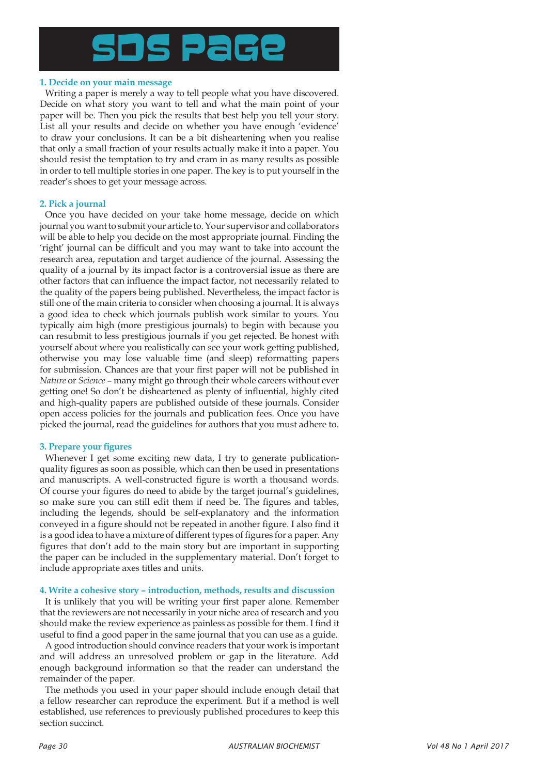

## **1. Decide on your main message**

Writing a paper is merely a way to tell people what you have discovered. Decide on what story you want to tell and what the main point of your paper will be. Then you pick the results that best help you tell your story. List all your results and decide on whether you have enough 'evidence' to draw your conclusions. It can be a bit disheartening when you realise that only a small fraction of your results actually make it into a paper. You should resist the temptation to try and cram in as many results as possible in order to tell multiple stories in one paper. The key is to put yourself in the reader's shoes to get your message across.

### **2. Pick a journal**

Once you have decided on your take home message, decide on which journal you want to submit your article to. Your supervisor and collaborators will be able to help you decide on the most appropriate journal. Finding the 'right' journal can be difficult and you may want to take into account the research area, reputation and target audience of the journal. Assessing the quality of a journal by its impact factor is a controversial issue as there are other factors that can influence the impact factor, not necessarily related to the quality of the papers being published. Nevertheless, the impact factor is still one of the main criteria to consider when choosing a journal. It is always a good idea to check which journals publish work similar to yours. You typically aim high (more prestigious journals) to begin with because you can resubmit to less prestigious journals if you get rejected. Be honest with yourself about where you realistically can see your work getting published, otherwise you may lose valuable time (and sleep) reformatting papers for submission. Chances are that your first paper will not be published in *Nature* or *Science* – many might go through their whole careers without ever getting one! So don't be disheartened as plenty of influential, highly cited and high-quality papers are published outside of these journals. Consider open access policies for the journals and publication fees. Once you have picked the journal, read the guidelines for authors that you must adhere to.

# **3. Prepare your figures**

Whenever I get some exciting new data, I try to generate publicationquality figures as soon as possible, which can then be used in presentations and manuscripts. A well-constructed figure is worth a thousand words. Of course your figures do need to abide by the target journal's guidelines, so make sure you can still edit them if need be. The figures and tables, including the legends, should be self-explanatory and the information conveyed in a figure should not be repeated in another figure. I also find it is a good idea to have a mixture of different types of figures for a paper. Any figures that don't add to the main story but are important in supporting the paper can be included in the supplementary material. Don't forget to include appropriate axes titles and units.

#### **4. Write a cohesive story – introduction, methods, results and discussion**

It is unlikely that you will be writing your first paper alone. Remember that the reviewers are not necessarily in your niche area of research and you should make the review experience as painless as possible for them. I find it useful to find a good paper in the same journal that you can use as a guide.

A good introduction should convince readers that your work is important and will address an unresolved problem or gap in the literature. Add enough background information so that the reader can understand the remainder of the paper.

The methods you used in your paper should include enough detail that a fellow researcher can reproduce the experiment. But if a method is well established, use references to previously published procedures to keep this section succinct.